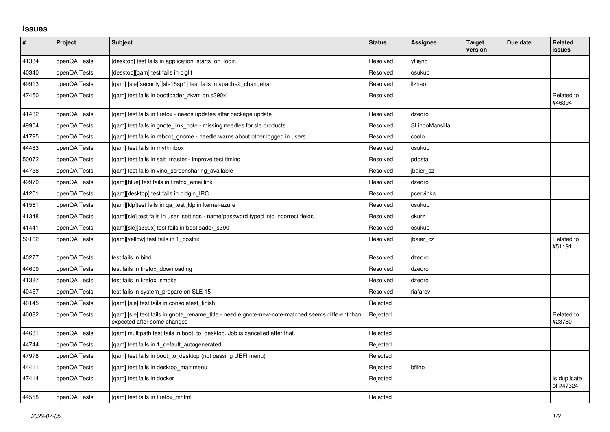## **Issues**

| $\vert$ # | Project      | <b>Subject</b>                                                                                                                   | <b>Status</b> | Assignee       | <b>Target</b><br>version | Due date | Related<br>issues         |
|-----------|--------------|----------------------------------------------------------------------------------------------------------------------------------|---------------|----------------|--------------------------|----------|---------------------------|
| 41384     | openQA Tests | [desktop] test fails in application_starts_on_login                                                                              | Resolved      | yfjiang        |                          |          |                           |
| 40340     | openQA Tests | [desktop][qam] test fails in piglit                                                                                              | Resolved      | osukup         |                          |          |                           |
| 49913     | openQA Tests | [gam] [sle][security][sle15sp1] test fails in apache2 changehat                                                                  | Resolved      | Ilzhao         |                          |          |                           |
| 47450     | openQA Tests | [gam] test fails in bootloader zkvm on s390x                                                                                     | Resolved      |                |                          |          | Related to<br>#46394      |
| 41432     | openQA Tests | [qam] test fails in firefox - needs updates after package update                                                                 | Resolved      | dzedro         |                          |          |                           |
| 49904     | openQA Tests | [gam] test fails in gnote link note - missing needles for sle products                                                           | Resolved      | SLindoMansilla |                          |          |                           |
| 41795     | openQA Tests | [gam] test fails in reboot gnome - needle warns about other logged in users                                                      | Resolved      | coolo          |                          |          |                           |
| 44483     | openQA Tests | [gam] test fails in rhythmbox                                                                                                    | Resolved      | osukup         |                          |          |                           |
| 50072     | openQA Tests | [gam] test fails in salt master - improve test timing                                                                            | Resolved      | pdostal        |                          |          |                           |
| 44738     | openQA Tests | [qam] test fails in vino_screensharing_available                                                                                 | Resolved      | jbaier cz      |                          |          |                           |
| 49970     | openQA Tests | [qam][blue] test fails in firefox_emaillink                                                                                      | Resolved      | dzedro         |                          |          |                           |
| 41201     | openQA Tests | [gam][desktop] test fails in pidgin IRC                                                                                          | Resolved      | pcervinka      |                          |          |                           |
| 41561     | openQA Tests | [gam][klp]test fails in ga test klp in kernel-azure                                                                              | Resolved      | osukup         |                          |          |                           |
| 41348     | openQA Tests | [qam][sle] test fails in user_settings - name/password typed into incorrect fields                                               | Resolved      | okurz          |                          |          |                           |
| 41441     | openQA Tests | [gam][sle][s390x] test fails in bootloader s390                                                                                  | Resolved      | osukup         |                          |          |                           |
| 50162     | openQA Tests | [qam][yellow] test fails in 1_postfix                                                                                            | Resolved      | jbaier_cz      |                          |          | Related to<br>#51191      |
| 40277     | openQA Tests | test fails in bind                                                                                                               | Resolved      | dzedro         |                          |          |                           |
| 44609     | openQA Tests | test fails in firefox_downloading                                                                                                | Resolved      | dzedro         |                          |          |                           |
| 41387     | openQA Tests | test fails in firefox smoke                                                                                                      | Resolved      | dzedro         |                          |          |                           |
| 40457     | openQA Tests | test fails in system prepare on SLE 15                                                                                           | Resolved      | riafarov       |                          |          |                           |
| 40145     | openQA Tests | [qam] [sle] test fails in consoletest_finish                                                                                     | Rejected      |                |                          |          |                           |
| 40082     | openQA Tests | [gam] [sle] test fails in gnote_rename_title - needle gnote-new-note-matched seems different than<br>expected after some changes | Rejected      |                |                          |          | Related to<br>#23780      |
| 44681     | openQA Tests | [gam] multipath test fails in boot to desktop. Job is cancelled after that.                                                      | Rejected      |                |                          |          |                           |
| 44744     | openQA Tests | [qam] test fails in 1_default_autogenerated                                                                                      | Rejected      |                |                          |          |                           |
| 47978     | openQA Tests | [qam] test fails in boot_to_desktop (not passing UEFI menu)                                                                      | Rejected      |                |                          |          |                           |
| 44411     | openQA Tests | [qam] test fails in desktop_mainmenu                                                                                             | Rejected      | bfilho         |                          |          |                           |
| 47414     | openQA Tests | [gam] test fails in docker                                                                                                       | Rejected      |                |                          |          | Is duplicate<br>of #47324 |
| 44558     | openQA Tests | [gam] test fails in firefox mhtml                                                                                                | Rejected      |                |                          |          |                           |